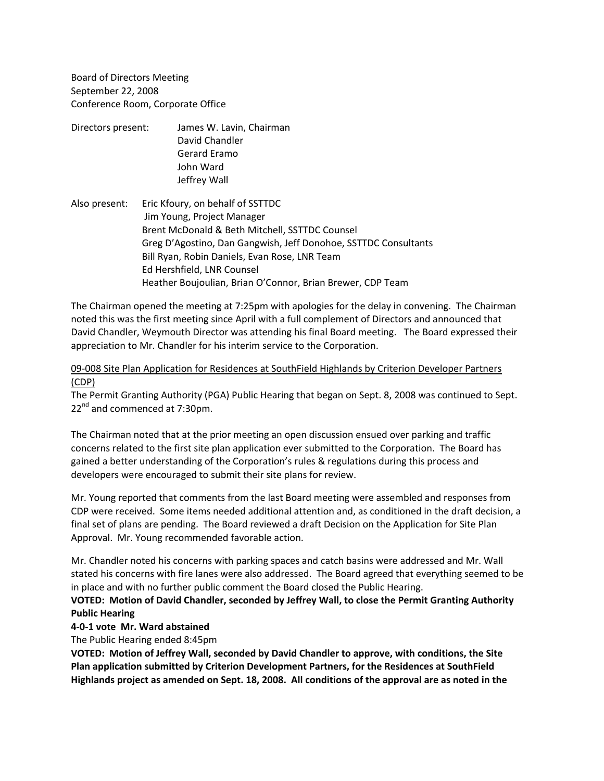Board of Directors Meeting September 22, 2008 Conference Room, Corporate Office

- Directors present: James W. Lavin, Chairman David Chandler Gerard Eramo John Ward Jeffrey Wall
- Also present: Eric Kfoury, on behalf of SSTTDC Jim Young, Project Manager Brent McDonald & Beth Mitchell, SSTTDC Counsel Greg D'Agostino, Dan Gangwish, Jeff Donohoe, SSTTDC Consultants Bill Ryan, Robin Daniels, Evan Rose, LNR Team Ed Hershfield, LNR Counsel Heather Boujoulian, Brian O'Connor, Brian Brewer, CDP Team

The Chairman opened the meeting at 7:25pm with apologies for the delay in convening. The Chairman noted this was the first meeting since April with a full complement of Directors and announced that David Chandler, Weymouth Director was attending his final Board meeting. The Board expressed their appreciation to Mr. Chandler for his interim service to the Corporation.

## 09-008 Site Plan Application for Residences at SouthField Highlands by Criterion Developer Partners (CDP)

The Permit Granting Authority (PGA) Public Hearing that began on Sept. 8, 2008 was continued to Sept.  $22<sup>nd</sup>$  and commenced at 7:30pm.

The Chairman noted that at the prior meeting an open discussion ensued over parking and traffic concerns related to the first site plan application ever submitted to the Corporation. The Board has gained a better understanding of the Corporation's rules & regulations during this process and developers were encouraged to submit their site plans for review.

Mr. Young reported that comments from the last Board meeting were assembled and responses from CDP were received. Some items needed additional attention and, as conditioned in the draft decision, a final set of plans are pending. The Board reviewed a draft Decision on the Application for Site Plan Approval. Mr. Young recommended favorable action.

Mr. Chandler noted his concerns with parking spaces and catch basins were addressed and Mr. Wall stated his concerns with fire lanes were also addressed. The Board agreed that everything seemed to be in place and with no further public comment the Board closed the Public Hearing.

# **VOTED: Motion of David Chandler, seconded by Jeffrey Wall, to close the Permit Granting Authority Public Hearing**

## **4‐0‐1 vote Mr. Ward abstained**

The Public Hearing ended 8:45pm

**VOTED: Motion of Jeffrey Wall, seconded by David Chandler to approve, with conditions, the Site Plan application submitted by Criterion Development Partners, for the Residences at SouthField Highlands project as amended on Sept. 18, 2008. All conditions of the approval are as noted in the**